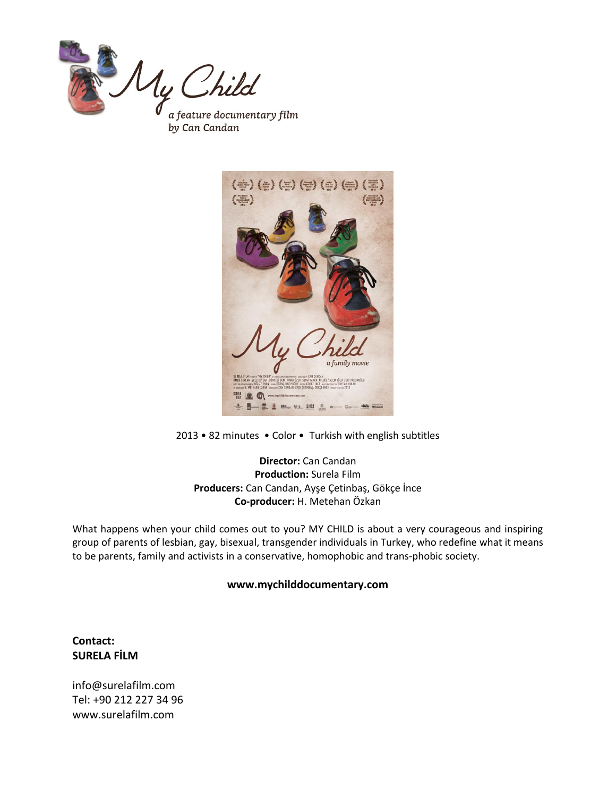



2013 • 82 minutes • Color • Turkish with english subtitles

**Director:** Can Candan **Production:** Surela Film **Producers:** Can Candan, Ayşe Çetinbaş, Gökçe İnce **Co-producer:** H. Metehan Özkan

What happens when your child comes out to you? MY CHILD is about a very courageous and inspiring group of parents of lesbian, gay, bisexual, transgender individuals in Turkey, who redefine what it means to be parents, family and activists in a conservative, homophobic and trans-phobic society.

#### **www.mychilddocumentary.com**

## **Contact: SURELA FİLM**

[info@surelafilm.com](mailto:info@surelafilm.com) Tel: +90 212 227 34 96 [www.surelafilm.com](http://www.surelafilm.com/)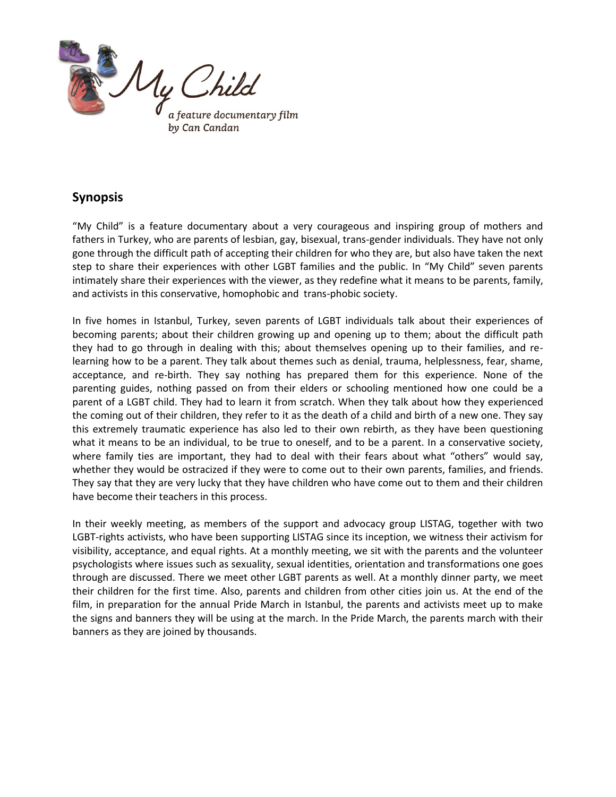

# **Synopsis**

"My Child" is a feature documentary about a very courageous and inspiring group of mothers and fathers in Turkey, who are parents of lesbian, gay, bisexual, trans-gender individuals. They have not only gone through the difficult path of accepting their children for who they are, but also have taken the next step to share their experiences with other LGBT families and the public. In "My Child" seven parents intimately share their experiences with the viewer, as they redefine what it means to be parents, family, and activists in this conservative, homophobic and trans-phobic society.

In five homes in Istanbul, Turkey, seven parents of LGBT individuals talk about their experiences of becoming parents; about their children growing up and opening up to them; about the difficult path they had to go through in dealing with this; about themselves opening up to their families, and relearning how to be a parent. They talk about themes such as denial, trauma, helplessness, fear, shame, acceptance, and re-birth. They say nothing has prepared them for this experience. None of the parenting guides, nothing passed on from their elders or schooling mentioned how one could be a parent of a LGBT child. They had to learn it from scratch. When they talk about how they experienced the coming out of their children, they refer to it as the death of a child and birth of a new one. They say this extremely traumatic experience has also led to their own rebirth, as they have been questioning what it means to be an individual, to be true to oneself, and to be a parent. In a conservative society, where family ties are important, they had to deal with their fears about what "others" would say, whether they would be ostracized if they were to come out to their own parents, families, and friends. They say that they are very lucky that they have children who have come out to them and their children have become their teachers in this process.

In their weekly meeting, as members of the support and advocacy group LISTAG, together with two LGBT-rights activists, who have been supporting LISTAG since its inception, we witness their activism for visibility, acceptance, and equal rights. At a monthly meeting, we sit with the parents and the volunteer psychologists where issues such as sexuality, sexual identities, orientation and transformations one goes through are discussed. There we meet other LGBT parents as well. At a monthly dinner party, we meet their children for the first time. Also, parents and children from other cities join us. At the end of the film, in preparation for the annual Pride March in Istanbul, the parents and activists meet up to make the signs and banners they will be using at the march. In the Pride March, the parents march with their banners as they are joined by thousands.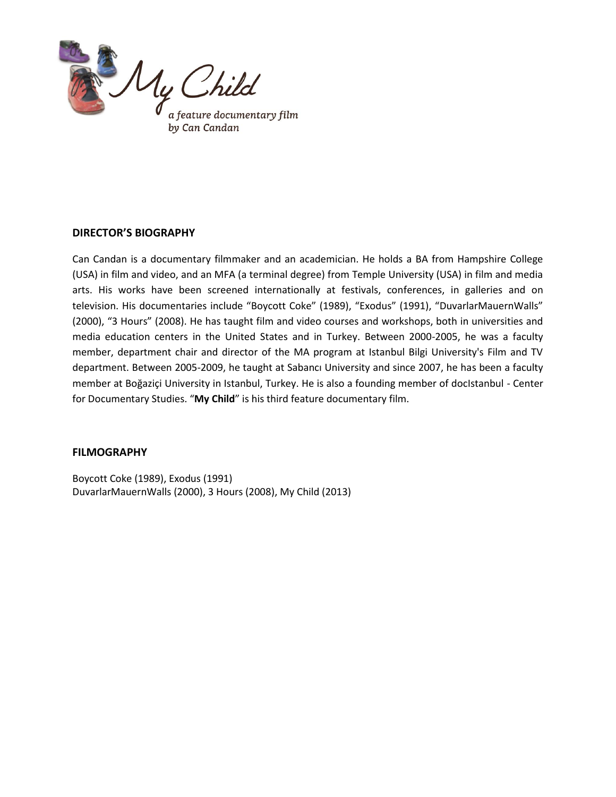

## **DIRECTOR'S BIOGRAPHY**

Can Candan is a documentary filmmaker and an academician. He holds a BA from Hampshire College (USA) in film and video, and an MFA (a terminal degree) from Temple University (USA) in film and media arts. His works have been screened internationally at festivals, conferences, in galleries and on television. His documentaries include "Boycott Coke" (1989), "Exodus" (1991), "DuvarlarMauernWalls" (2000), "3 Hours" (2008). He has taught film and video courses and workshops, both in universities and media education centers in the United States and in Turkey. Between 2000-2005, he was a faculty member, department chair and director of the MA program at Istanbul Bilgi University's Film and TV department. Between 2005-2009, he taught at Sabancı University and since 2007, he has been a faculty member at Boğaziçi University in Istanbul, Turkey. He is also a founding member of docIstanbul - Center for Documentary Studies. "**My Child**" is his third feature documentary film.

#### **FILMOGRAPHY**

Boycott Coke (1989), Exodus (1991) DuvarlarMauernWalls (2000), 3 Hours (2008), My Child (2013)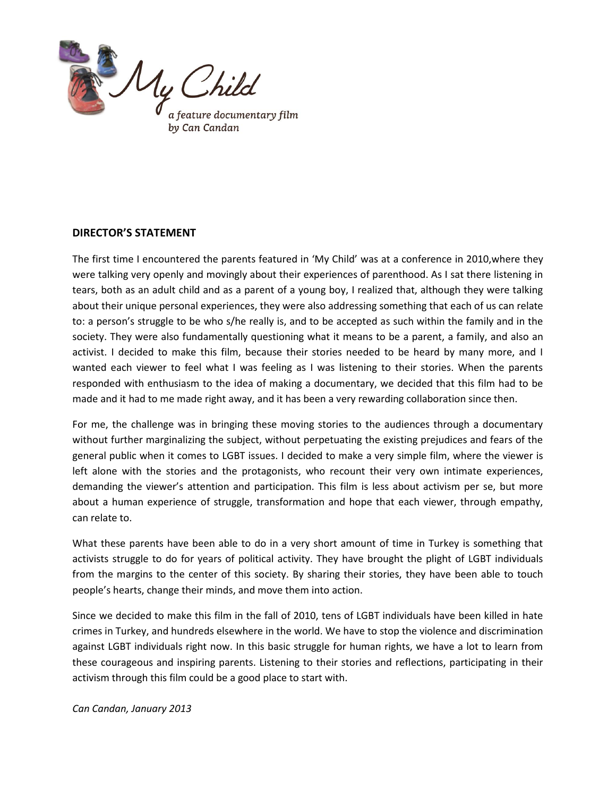

## **DIRECTOR'S STATEMENT**

The first time I encountered the parents featured in 'My Child' was at a conference in 2010,where they were talking very openly and movingly about their experiences of parenthood. As I sat there listening in tears, both as an adult child and as a parent of a young boy, I realized that, although they were talking about their unique personal experiences, they were also addressing something that each of us can relate to: a person's struggle to be who s/he really is, and to be accepted as such within the family and in the society. They were also fundamentally questioning what it means to be a parent, a family, and also an activist. I decided to make this film, because their stories needed to be heard by many more, and I wanted each viewer to feel what I was feeling as I was listening to their stories. When the parents responded with enthusiasm to the idea of making a documentary, we decided that this film had to be made and it had to me made right away, and it has been a very rewarding collaboration since then.

For me, the challenge was in bringing these moving stories to the audiences through a documentary without further marginalizing the subject, without perpetuating the existing prejudices and fears of the general public when it comes to LGBT issues. I decided to make a very simple film, where the viewer is left alone with the stories and the protagonists, who recount their very own intimate experiences, demanding the viewer's attention and participation. This film is less about activism per se, but more about a human experience of struggle, transformation and hope that each viewer, through empathy, can relate to.

What these parents have been able to do in a very short amount of time in Turkey is something that activists struggle to do for years of political activity. They have brought the plight of LGBT individuals from the margins to the center of this society. By sharing their stories, they have been able to touch people's hearts, change their minds, and move them into action.

Since we decided to make this film in the fall of 2010, tens of LGBT individuals have been killed in hate crimes in Turkey, and hundreds elsewhere in the world. We have to stop the violence and discrimination against LGBT individuals right now. In this basic struggle for human rights, we have a lot to learn from these courageous and inspiring parents. Listening to their stories and reflections, participating in their activism through this film could be a good place to start with.

*Can Candan, January 2013*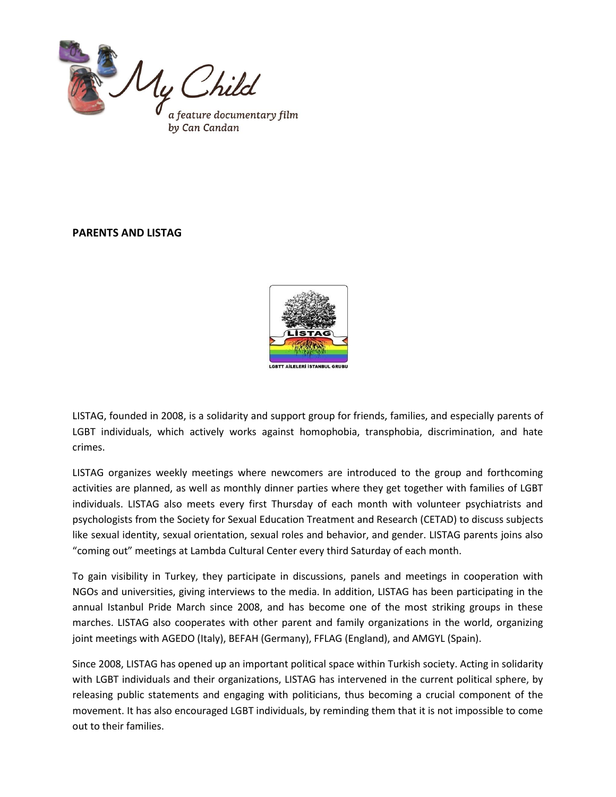

## **PARENTS AND LISTAG**



LISTAG, founded in 2008, is a solidarity and support group for friends, families, and especially parents of LGBT individuals, which actively works against homophobia, transphobia, discrimination, and hate crimes.

LISTAG organizes weekly meetings where newcomers are introduced to the group and forthcoming activities are planned, as well as monthly dinner parties where they get together with families of LGBT individuals. LISTAG also meets every first Thursday of each month with volunteer psychiatrists and psychologists from the Society for Sexual Education Treatment and Research (CETAD) to discuss subjects like sexual identity, sexual orientation, sexual roles and behavior, and gender. LISTAG parents joins also "coming out" meetings at Lambda Cultural Center every third Saturday of each month.

To gain visibility in Turkey, they participate in discussions, panels and meetings in cooperation with NGOs and universities, giving interviews to the media. In addition, LISTAG has been participating in the annual Istanbul Pride March since 2008, and has become one of the most striking groups in these marches. LISTAG also cooperates with other parent and family organizations in the world, organizing joint meetings with AGEDO (Italy), BEFAH (Germany), FFLAG (England), and AMGYL (Spain).

Since 2008, LISTAG has opened up an important political space within Turkish society. Acting in solidarity with LGBT individuals and their organizations, LISTAG has intervened in the current political sphere, by releasing public statements and engaging with politicians, thus becoming a crucial component of the movement. It has also encouraged LGBT individuals, by reminding them that it is not impossible to come out to their families.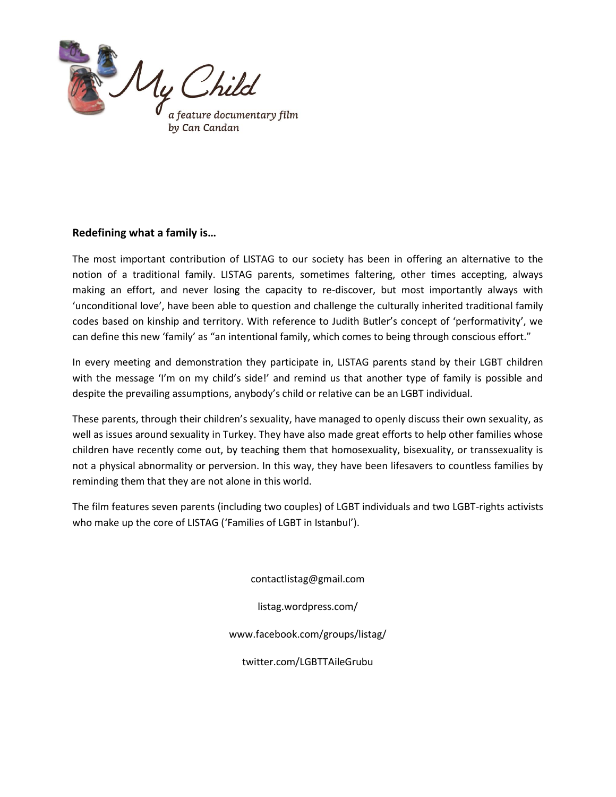

## **Redefining what a family is…**

The most important contribution of LISTAG to our society has been in offering an alternative to the notion of a traditional family. LISTAG parents, sometimes faltering, other times accepting, always making an effort, and never losing the capacity to re-discover, but most importantly always with 'unconditional love', have been able to question and challenge the culturally inherited traditional family codes based on kinship and territory. With reference to Judith Butler's concept of 'performativity', we can define this new 'family' as "an intentional family, which comes to being through conscious effort."

In every meeting and demonstration they participate in, LISTAG parents stand by their LGBT children with the message 'I'm on my child's side!' and remind us that another type of family is possible and despite the prevailing assumptions, anybody's child or relative can be an LGBT individual.

These parents, through their children's sexuality, have managed to openly discuss their own sexuality, as well as issues around sexuality in Turkey. They have also made great efforts to help other families whose children have recently come out, by teaching them that homosexuality, bisexuality, or transsexuality is not a physical abnormality or perversion. In this way, they have been lifesavers to countless families by reminding them that they are not alone in this world.

The film features seven parents (including two couples) of LGBT individuals and two LGBT-rights activists who make up the core of LISTAG ('Families of LGBT in Istanbul').

contactlistag@gmail.com

listag.wordpress.com/

www.facebook.com/groups/listag/

twitter.com/LGBTTAileGrubu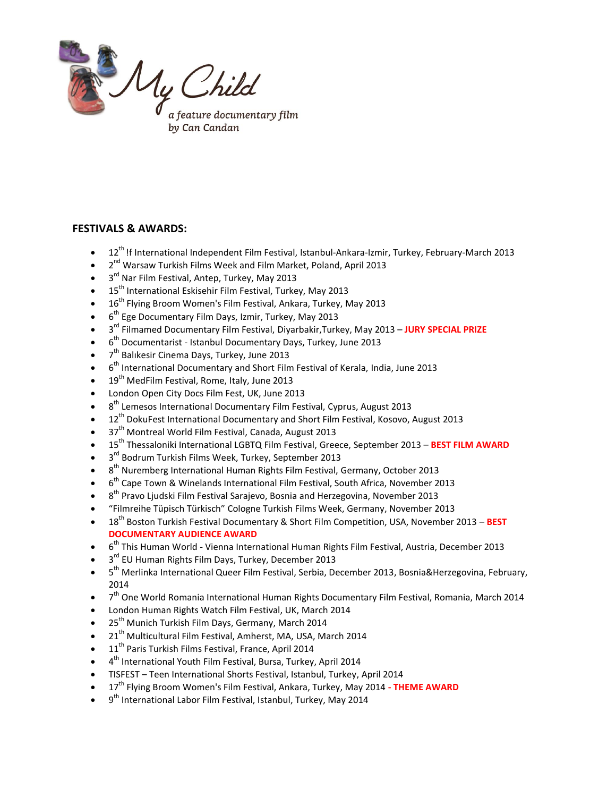

## **FESTIVALS & AWARDS:**

- 12th !f International Independent Film Festival, Istanbul-Ankara-Izmir, Turkey, February-March 2013
- $\bullet$  2<sup>nd</sup> Warsaw Turkish Films Week and Film Market, Poland, April 2013
- $\bullet$  3<sup>rd</sup> Nar Film Festival, Antep, Turkey, May 2013
- 15<sup>th</sup> International Eskisehir Film Festival, Turkey, May 2013
- 16<sup>th</sup> Flying Broom Women's Film Festival, Ankara, Turkey, May 2013
- $\bullet$  6<sup>th</sup> Ege Documentary Film Days, Izmir, Turkey, May 2013
- 3 rd Filmamed Documentary Film Festival, Diyarbakir,Turkey, May 2013 **JURY SPECIAL PRIZE**
- 6<sup>th</sup> Documentarist Istanbul Documentary Days, Turkey, June 2013
- $\bullet$  7<sup>th</sup> Balıkesir Cinema Days, Turkey, June 2013
- $\bullet$  6<sup>th</sup> International Documentary and Short Film Festival of Kerala, India, June 2013
- 19<sup>th</sup> MedFilm Festival, Rome, Italy, June 2013
- London Open City Docs Film Fest, UK, June 2013
- $\bullet$  8<sup>th</sup> Lemesos International Documentary Film Festival, Cyprus, August 2013
- 12<sup>th</sup> DokuFest International Documentary and Short Film Festival, Kosovo, August 2013
- 37<sup>th</sup> Montreal World Film Festival, Canada, August 2013
- 15th Thessaloniki International LGBTQ Film Festival, Greece, September 2013 **BEST FILM AWARD**
- 3<sup>rd</sup> Bodrum Turkish Films Week, Turkey, September 2013
- $\bullet$  8<sup>th</sup> Nuremberg International Human Rights Film Festival, Germany, October 2013
- $\bullet$  6<sup>th</sup> Cape Town & Winelands International Film Festival, South Africa, November 2013
- $\bullet$  8<sup>th</sup> Pravo Ljudski Film Festival Sarajevo, Bosnia and Herzegovina, November 2013
- "Filmreihe Tüpisch Türkisch" Cologne Turkish Films Week, Germany, November 2013
- 18th Boston Turkish Festival Documentary & Short Film Competition, USA, November 2013 **BEST DOCUMENTARY AUDIENCE AWARD**
- $\bullet$  6<sup>th</sup> This Human World Vienna International Human Rights Film Festival, Austria, December 2013
- 3<sup>rd</sup> EU Human Rights Film Days, Turkey, December 2013
- 5<sup>th</sup> Merlinka International Queer Film Festival, Serbia, December 2013, Bosnia&Herzegovina, February, 2014
- 7<sup>th</sup> One World Romania International Human Rights Documentary Film Festival, Romania, March 2014
- London Human Rights Watch Film Festival, UK, March 2014
- 25<sup>th</sup> Munich Turkish Film Days, Germany, March 2014
- 21<sup>th</sup> Multicultural Film Festival, Amherst, MA, USA, March 2014
- 11<sup>th</sup> Paris Turkish Films Festival, France, April 2014
- 4<sup>th</sup> International Youth Film Festival, Bursa, Turkey, April 2014
- TISFEST Teen International Shorts Festival, Istanbul, Turkey, April 2014
- 17th Flying Broom Women's Film Festival, Ankara, Turkey, May 2014 **- THEME AWARD**
- 9<sup>th</sup> International Labor Film Festival, Istanbul, Turkey, May 2014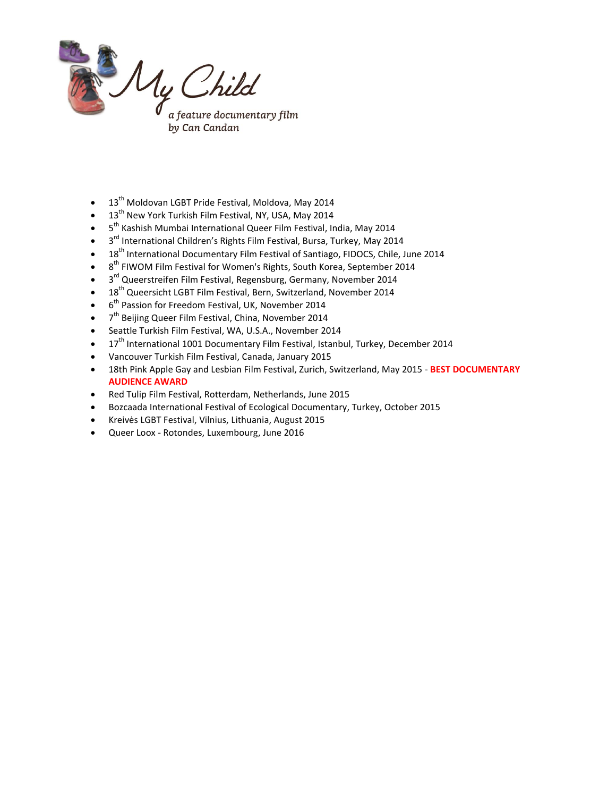

- 13<sup>th</sup> Moldovan LGBT Pride Festival, Moldova, May 2014
- 13<sup>th</sup> New York Turkish Film Festival, NY, USA, May 2014
- 5<sup>th</sup> Kashish Mumbai International Queer Film Festival, India, May 2014
- 3<sup>rd</sup> International Children's Rights Film Festival, Bursa, Turkey, May 2014
- 18<sup>th</sup> International Documentary Film Festival of Santiago, FIDOCS, Chile, June 2014
- $\bullet$  8<sup>th</sup> FIWOM Film Festival for Women's Rights, South Korea, September 2014
- 3<sup>rd</sup> Queerstreifen Film Festival, Regensburg, Germany, November 2014
- 18<sup>th</sup> Queersicht LGBT Film Festival, Bern, Switzerland, November 2014
- $\bullet$  6<sup>th</sup> Passion for Freedom Festival, UK, November 2014
- 7<sup>th</sup> Beijing Queer Film Festival, China, November 2014
- Seattle Turkish Film Festival, WA, U.S.A., November 2014
- $17<sup>th</sup>$  International 1001 Documentary Film Festival, Istanbul, Turkey, December 2014
- Vancouver Turkish Film Festival, Canada, January 2015
- 18th Pink Apple Gay and Lesbian Film Festival, Zurich, Switzerland, May 2015 **BEST DOCUMENTARY AUDIENCE AWARD**
- Red Tulip Film Festival, Rotterdam, Netherlands, June 2015
- Bozcaada International Festival of Ecological Documentary, Turkey, October 2015
- Kreivės LGBT Festival, Vilnius, Lithuania, August 2015
- Queer Loox Rotondes, Luxembourg, June 2016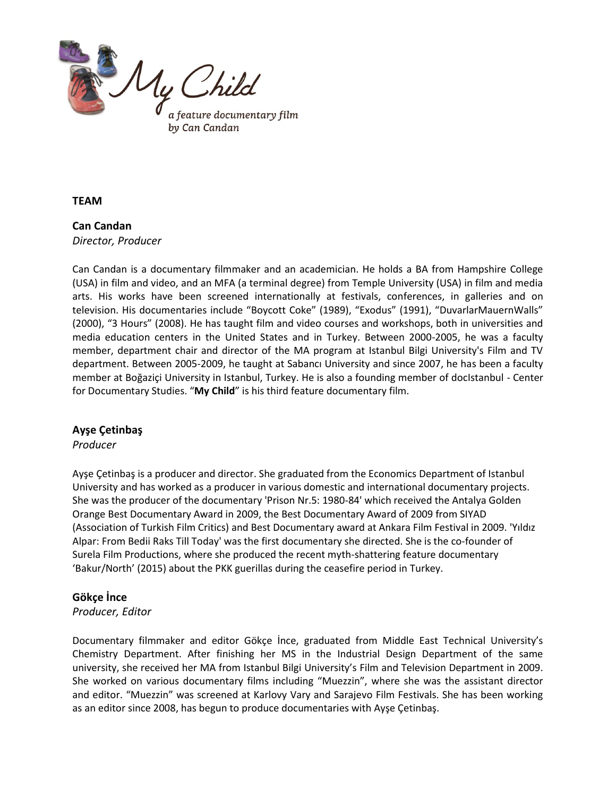

**TEAM**

## **Can Candan** *Director, Producer*

Can Candan is a documentary filmmaker and an academician. He holds a BA from Hampshire College (USA) in film and video, and an MFA (a terminal degree) from Temple University (USA) in film and media arts. His works have been screened internationally at festivals, conferences, in galleries and on television. His documentaries include "Boycott Coke" (1989), "Exodus" (1991), "DuvarlarMauernWalls" (2000), "3 Hours" (2008). He has taught film and video courses and workshops, both in universities and media education centers in the United States and in Turkey. Between 2000-2005, he was a faculty member, department chair and director of the MA program at Istanbul Bilgi University's Film and TV department. Between 2005-2009, he taught at Sabancı University and since 2007, he has been a faculty member at Boğaziçi University in Istanbul, Turkey. He is also a founding member of docIstanbul - Center for Documentary Studies. "**My Child**" is his third feature documentary film.

## **Ayşe Çetinbaş**

#### *Producer*

Ayşe Çetinbaş is a producer and director. She graduated from the Economics Department of Istanbul University and has worked as a producer in various domestic and international documentary projects. She was the producer of the documentary 'Prison Nr.5: 1980-84' which received the Antalya Golden Orange Best Documentary Award in 2009, the Best Documentary Award of 2009 from SIYAD (Association of Turkish Film Critics) and Best Documentary award at Ankara Film Festival in 2009. 'Yıldız Alpar: From Bedii Raks Till Today' was the first documentary she directed. She is the co-founder of Surela Film Productions, where she produced the recent myth-shattering feature documentary 'Bakur/North' (2015) about the PKK guerillas during the ceasefire period in Turkey.

## **Gökçe İnce**

#### *Producer, Editor*

Documentary filmmaker and editor Gökçe İnce, graduated from Middle East Technical University's Chemistry Department. After finishing her MS in the Industrial Design Department of the same university, she received her MA from Istanbul Bilgi University's Film and Television Department in 2009. She worked on various documentary films including "Muezzin", where she was the assistant director and editor. "Muezzin" was screened at Karlovy Vary and Sarajevo Film Festivals. She has been working as an editor since 2008, has begun to produce documentaries with Ayşe Çetinbaş.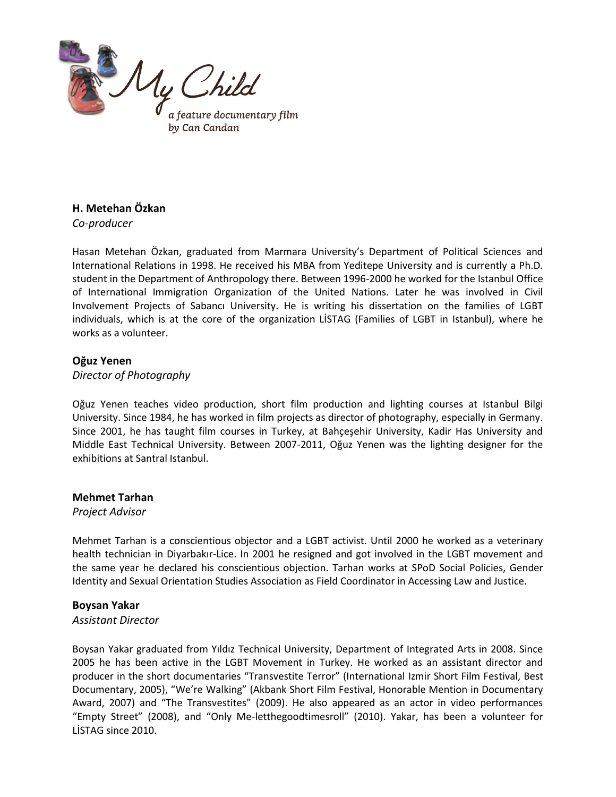

# **H. Metehan Özkan**

*Co-producer*

Hasan Metehan Özkan, graduated from Marmara University's Department of Political Sciences and International Relations in 1998. He received his MBA from Yeditepe University and is currently a Ph.D. student in the Department of Anthropology there. Between 1996-2000 he worked for the Istanbul Office of International Immigration Organization of the United Nations. Later he was involved in Civil Involvement Projects of Sabancı University. He is writing his dissertation on the families of LGBT individuals, which is at the core of the organization LİSTAG (Families of LGBT in Istanbul), where he works as a volunteer.

## **Oğuz Yenen**

#### *Director of Photography*

Oğuz Yenen teaches video production, short film production and lighting courses at Istanbul Bilgi University. Since 1984, he has worked in film projects as director of photography, especially in Germany. Since 2001, he has taught film courses in Turkey, at Bahçeşehir University, Kadir Has University and Middle East Technical University. Between 2007-2011, Oğuz Yenen was the lighting designer for the exhibitions at Santral Istanbul.

#### **Mehmet Tarhan**

*Project Advisor*

Mehmet Tarhan is a conscientious objector and a LGBT activist. Until 2000 he worked as a veterinary health technician in Diyarbakır-Lice. In 2001 he resigned and got involved in the LGBT movement and the same year he declared his conscientious objection. Tarhan works at SPoD Social Policies, Gender Identity and Sexual Orientation Studies Association as Field Coordinator in Accessing Law and Justice.

## **Boysan Yakar**

#### *Assistant Director*

Boysan Yakar graduated from Yıldız Technical University, Department of Integrated Arts in 2008. Since 2005 he has been active in the LGBT Movement in Turkey. He worked as an assistant director and producer in the short documentaries "Transvestite Terror" (International Izmir Short Film Festival, Best Documentary, 2005), "We're Walking" (Akbank Short Film Festival, Honorable Mention in Documentary Award, 2007) and "The Transvestites" (2009). He also appeared as an actor in video performances "Empty Street" (2008), and "Only Me-letthegoodtimesroll" (2010). Yakar, has been a volunteer for LİSTAG since 2010.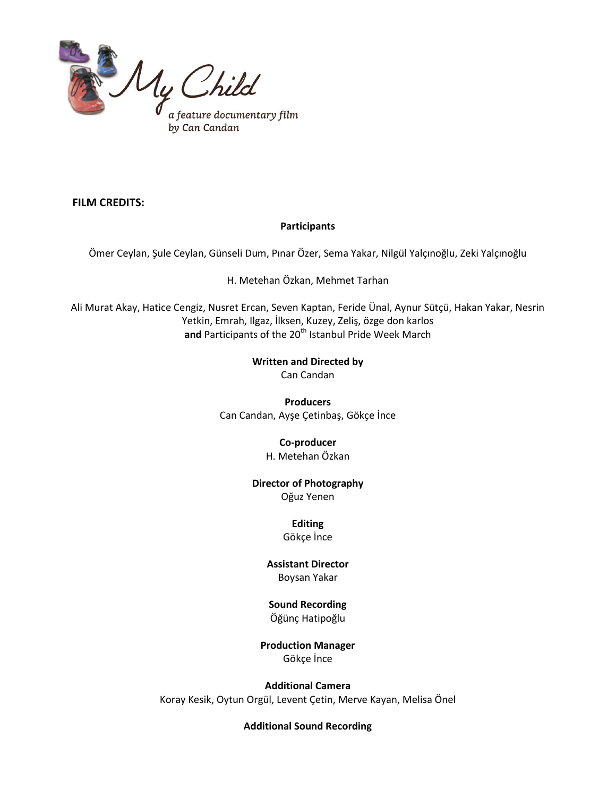

## **FILM CREDITS:**

## **Participants**

Ömer Ceylan, Şule Ceylan, Günseli Dum, Pınar Özer, Sema Yakar, Nilgül Yalçınoğlu, Zeki Yalçınoğlu

H. Metehan Özkan, Mehmet Tarhan

Ali Murat Akay, Hatice Cengiz, Nusret Ercan, Seven Kaptan, Feride Ünal, Aynur Sütçü, Hakan Yakar, Nesrin Yetkin, Emrah, Ilgaz, İlksen, Kuzey, Zeliş, özge don karlos and Participants of the 20<sup>th</sup> Istanbul Pride Week March

**Written and Directed by**

Can Candan

**Producers** Can Candan, Ayşe Çetinbaş, Gökçe İnce

## **Co-producer**

H. Metehan Özkan

**Director of Photography**

Oğuz Yenen

# **Editing**

Gökçe İnce

# **Assistant Director**

# Boysan Yakar

# **Sound Recording**

Öğünç Hatipoğlu

# **Production Manager**

Gökçe İnce

**Additional Camera** Koray Kesik, Oytun Orgül, Levent Çetin, Merve Kayan, Melisa Önel

#### **Additional Sound Recording**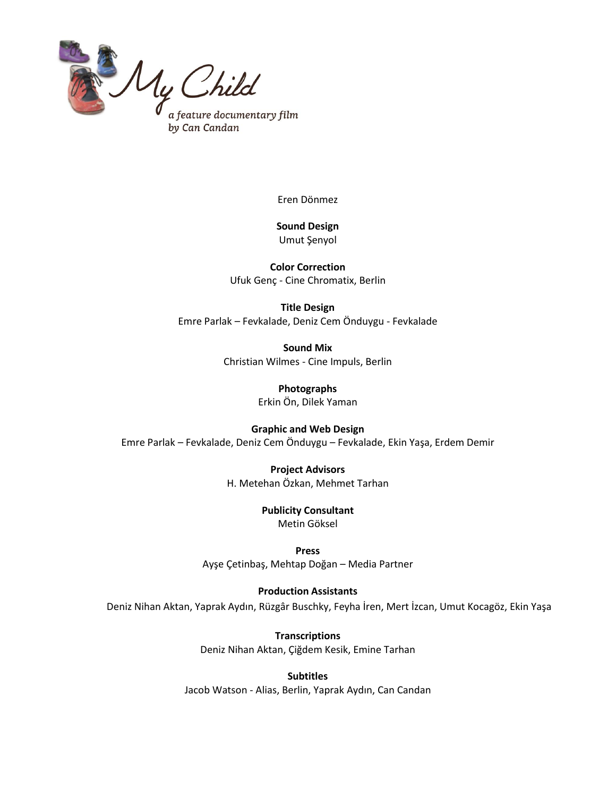

Eren Dönmez

**Sound Design** Umut Şenyol

**Color Correction** Ufuk Genç - Cine Chromatix, Berlin

**Title Design** Emre Parlak – Fevkalade, Deniz Cem Önduygu - Fevkalade

> **Sound Mix** Christian Wilmes - Cine Impuls, Berlin

> > **Photographs** Erkin Ön, Dilek Yaman

**Graphic and Web Design** Emre Parlak – Fevkalade, Deniz Cem Önduygu – Fevkalade, Ekin Yaşa, Erdem Demir

> **Project Advisors** H. Metehan Özkan, Mehmet Tarhan

> > **Publicity Consultant** Metin Göksel

**Press** Ayşe Çetinbaş, Mehtap Doğan – Media Partner

**Production Assistants** Deniz Nihan Aktan, Yaprak Aydın, Rüzgâr Buschky, Feyha İren, Mert İzcan, Umut Kocagöz, Ekin Yaşa

> **Transcriptions** Deniz Nihan Aktan, Çiğdem Kesik, Emine Tarhan

**Subtitles** Jacob Watson - Alias, Berlin, Yaprak Aydın, Can Candan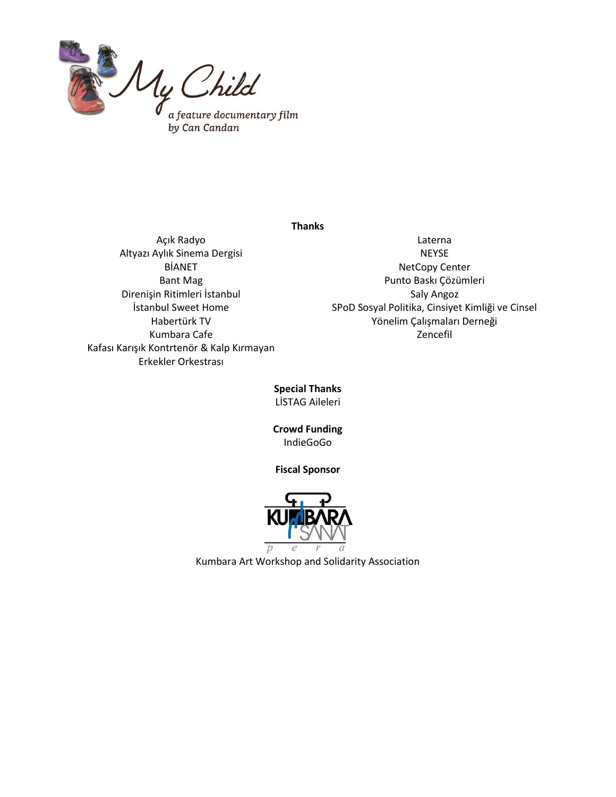

#### **Thanks**

Açık Radyo Altyazı Aylık Sinema Dergisi BİANET Bant Mag Direnişin Ritimleri İstanbul İstanbul Sweet Home Habertürk TV Kumbara Cafe Kafası Karışık Kontrtenör & Kalp Kırmayan Erkekler Orkestrası

Laterna NEYSE NetCopy Center Punto Baskı Çözümleri Saly Angoz SPoD Sosyal Politika, Cinsiyet Kimliği ve Cinsel Yönelim Çalışmaları Derneği Zencefil

**Special Thanks** LİSTAG Aileleri

**Crowd Funding** IndieGoGo

## **Fiscal Sponsor**



Kumbara Art Workshop and Solidarity Association